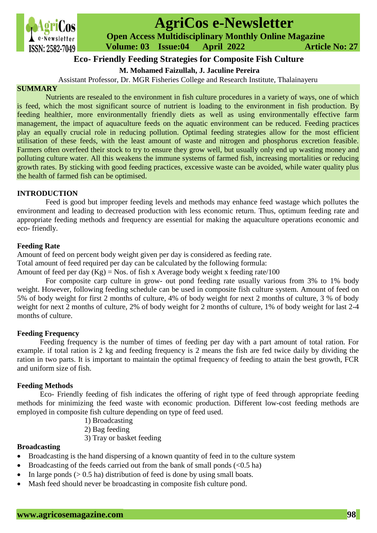

# **AgriCos e-Newsletter**

 **Open Access Multidisciplinary Monthly Online Magazine**

 **ISSN: 2582-7049 Volume: 03 Issue:04 April 2022 Article No: 27** 

## **Eco- Friendly Feeding Strategies for Composite Fish Culture**

**M. Mohamed Faizullah, J. Jaculine Pereira**

Assistant Professor, Dr. MGR Fisheries College and Research Institute, Thalainayeru

## **SUMMARY**

Nutrients are resealed to the environment in fish culture procedures in a variety of ways, one of which is feed, which the most significant source of nutrient is loading to the environment in fish production. By feeding healthier, more environmentally friendly diets as well as using environmentally effective farm management, the impact of aquaculture feeds on the aquatic environment can be reduced. Feeding practices play an equally crucial role in reducing pollution. Optimal feeding strategies allow for the most efficient utilisation of these feeds, with the least amount of waste and nitrogen and phosphorus excretion feasible. Farmers often overfeed their stock to try to ensure they grow well, but usually only end up wasting money and polluting culture water. All this weakens the immune systems of farmed fish, increasing mortalities or reducing growth rates. By sticking with good feeding practices, excessive waste can be avoided, while water quality plus the health of farmed fish can be optimised.

#### **INTRODUCTION**

Feed is good but improper feeding levels and methods may enhance feed wastage which pollutes the environment and leading to decreased production with less economic return. Thus, optimum feeding rate and appropriate feeding methods and frequency are essential for making the aquaculture operations economic and eco- friendly.

## **Feeding Rate**

Amount of feed on percent body weight given per day is considered as feeding rate.

Total amount of feed required per day can be calculated by the following formula:

Amount of feed per day  $(Kg) = Nos.$  of fish x Average body weight x feeding rate/100

For composite carp culture in grow- out pond feeding rate usually various from 3% to 1% body weight. However, following feeding schedule can be used in composite fish culture system. Amount of feed on 5% of body weight for first 2 months of culture, 4% of body weight for next 2 months of culture, 3 % of body weight for next 2 months of culture, 2% of body weight for 2 months of culture, 1% of body weight for last 2-4 months of culture.

#### **Feeding Frequency**

Feeding frequency is the number of times of feeding per day with a part amount of total ration. For example. if total ration is 2 kg and feeding frequency is 2 means the fish are fed twice daily by dividing the ration in two parts. It is important to maintain the optimal frequency of feeding to attain the best growth, FCR and uniform size of fish.

## **Feeding Methods**

Eco- Friendly feeding of fish indicates the offering of right type of feed through appropriate feeding methods for minimizing the feed waste with economic production. Different low-cost feeding methods are employed in composite fish culture depending on type of feed used.

- 1) Broadcasting
- 2) Bag feeding
- 3) Tray or basket feeding

## **Broadcasting**

- Broadcasting is the hand dispersing of a known quantity of feed in to the culture system
- Broadcasting of the feeds carried out from the bank of small ponds  $(< 0.5$  ha)
- In large ponds ( $> 0.5$  ha) distribution of feed is done by using small boats.
- Mash feed should never be broadcasting in composite fish culture pond.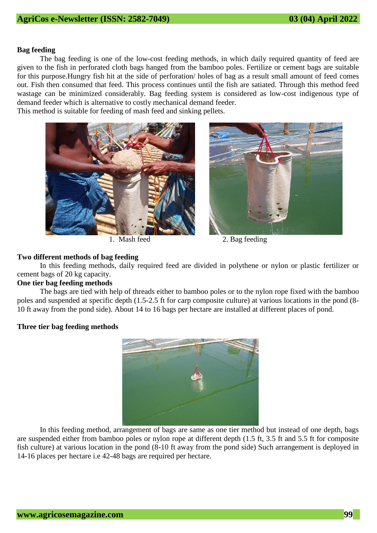#### **Bag feeding**

The bag feeding is one of the low-cost feeding methods, in which daily required quantity of feed are given to the fish in perforated cloth bags hanged from the bamboo poles. Fertilize or cement bags are suitable for this purpose.Hungry fish hit at the side of perforation/ holes of bag as a result small amount of feed comes out. Fish then consumed that feed. This process continues until the fish are satiated. Through this method feed wastage can be minimized considerably. Bag feeding system is considered as low-cost indigenous type of demand feeder which is alternative to costly mechanical demand feeder.

This method is suitable for feeding of mash feed and sinking pellets.





1. Mash feed 2. Bag feeding

#### **Two different methods of bag feeding**

In this feeding methods, daily required feed are divided in polythene or nylon or plastic fertilizer or cement bags of 20 kg capacity.

## **One tier bag feeding methods**

The bags are tied with help of threads either to bamboo poles or to the nylon rope fixed with the bamboo poles and suspended at specific depth (1.5-2.5 ft for carp composite culture) at various locations in the pond (8- 10 ft away from the pond side). About 14 to 16 bags per hectare are installed at different places of pond.

#### **Three tier bag feeding methods**



In this feeding method, arrangement of bags are same as one tier method but instead of one depth, bags are suspended either from bamboo poles or nylon rope at different depth (1.5 ft, 3.5 ft and 5.5 ft for composite fish culture) at various location in the pond (8-10 ft away from the pond side) Such arrangement is deployed in 14-16 places per hectare i.e 42-48 bags are required per hectare.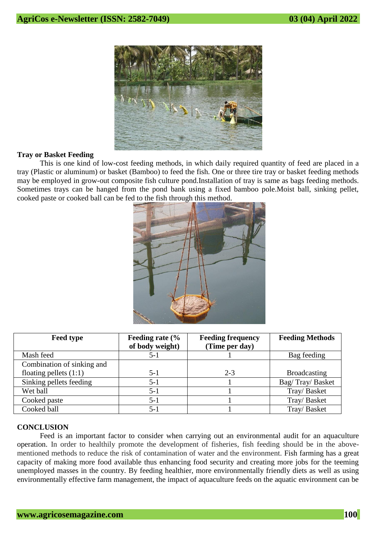

#### **Tray or Basket Feeding**

This is one kind of low-cost feeding methods, in which daily required quantity of feed are placed in a tray (Plastic or aluminum) or basket (Bamboo) to feed the fish. One or three tire tray or basket feeding methods may be employed in grow-out composite fish culture pond.Installation of tray is same as bags feeding methods. Sometimes trays can be hanged from the pond bank using a fixed bamboo pole.Moist ball, sinking pellet, cooked paste or cooked ball can be fed to the fish through this method.



| <b>Feed type</b>           | Feeding rate (% | <b>Feeding frequency</b> | <b>Feeding Methods</b> |
|----------------------------|-----------------|--------------------------|------------------------|
|                            | of body weight) | (Time per day)           |                        |
| Mash feed                  | 5-1             |                          | Bag feeding            |
| Combination of sinking and |                 |                          |                        |
| floating pellets $(1:1)$   | 5-1             | $2 - 3$                  | <b>Broadcasting</b>    |
| Sinking pellets feeding    | $5 - 1$         |                          | Bag/Tray/Basket        |
| Wet ball                   | 5-1             |                          | Tray/Basket            |
| Cooked paste               | 5-1             |                          | Tray/Basket            |
| Cooked ball                | $5 - 1$         |                          | Tray/Basket            |

## **CONCLUSION**

Feed is an important factor to consider when carrying out an environmental audit for an aquaculture operation. In order to healthily promote the development of fisheries, fish feeding should be in the abovementioned methods to reduce the risk of contamination of water and the environment. Fish farming has a great capacity of making more food available thus enhancing food security and creating more jobs for the teeming unemployed masses in the country. By feeding healthier, more environmentally friendly diets as well as using environmentally effective farm management, the impact of aquaculture feeds on the aquatic environment can be